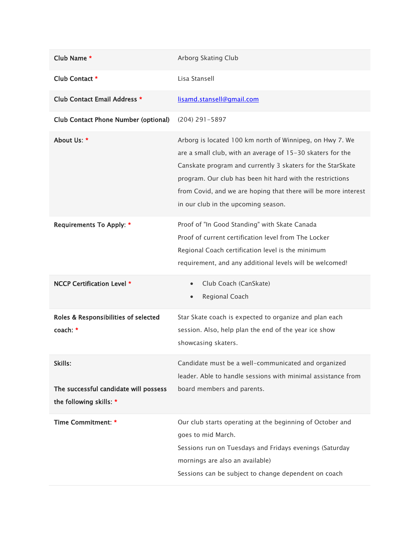| Club Name *                                                                 | Arborg Skating Club                                                                                                                                                                                                                                                                                                                                        |
|-----------------------------------------------------------------------------|------------------------------------------------------------------------------------------------------------------------------------------------------------------------------------------------------------------------------------------------------------------------------------------------------------------------------------------------------------|
| Club Contact *                                                              | Lisa Stansell                                                                                                                                                                                                                                                                                                                                              |
| Club Contact Email Address *                                                | lisamd.stansell@gmail.com                                                                                                                                                                                                                                                                                                                                  |
| <b>Club Contact Phone Number (optional)</b>                                 | $(204)$ 291-5897                                                                                                                                                                                                                                                                                                                                           |
| About Us: *                                                                 | Arborg is located 100 km north of Winnipeg, on Hwy 7. We<br>are a small club, with an average of 15-30 skaters for the<br>Canskate program and currently 3 skaters for the StarSkate<br>program. Our club has been hit hard with the restrictions<br>from Covid, and we are hoping that there will be more interest<br>in our club in the upcoming season. |
| <b>Requirements To Apply: *</b>                                             | Proof of "In Good Standing" with Skate Canada<br>Proof of current certification level from The Locker<br>Regional Coach certification level is the minimum<br>requirement, and any additional levels will be welcomed!                                                                                                                                     |
| NCCP Certification Level *                                                  | Club Coach (CanSkate)<br>$\bullet$<br>Regional Coach<br>$\bullet$                                                                                                                                                                                                                                                                                          |
| Roles & Responsibilities of selected<br>coach: *                            | Star Skate coach is expected to organize and plan each<br>session. Also, help plan the end of the year ice show<br>showcasing skaters.                                                                                                                                                                                                                     |
| Skills:<br>The successful candidate will possess<br>the following skills: * | Candidate must be a well-communicated and organized<br>leader. Able to handle sessions with minimal assistance from<br>board members and parents.                                                                                                                                                                                                          |
| Time Commitment: *                                                          | Our club starts operating at the beginning of October and<br>goes to mid March.<br>Sessions run on Tuesdays and Fridays evenings (Saturday<br>mornings are also an available)<br>Sessions can be subject to change dependent on coach                                                                                                                      |